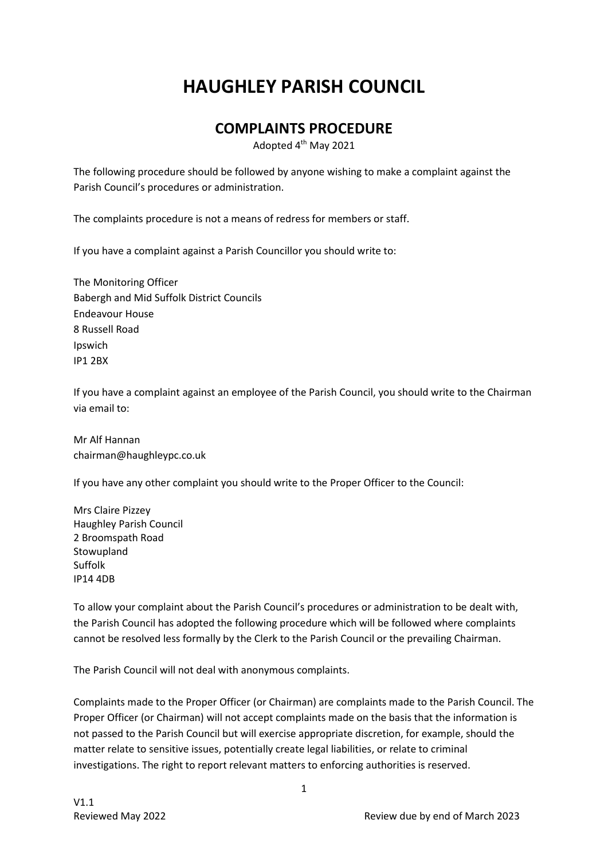# **HAUGHLEY PARISH COUNCIL**

# **COMPLAINTS PROCEDURE**

Adopted 4<sup>th</sup> May 2021

The following procedure should be followed by anyone wishing to make a complaint against the Parish Council's procedures or administration.

The complaints procedure is not a means of redress for members or staff.

If you have a complaint against a Parish Councillor you should write to:

The Monitoring Officer Babergh and Mid Suffolk District Councils Endeavour House 8 Russell Road Ipswich IP1 2BX

If you have a complaint against an employee of the Parish Council, you should write to the Chairman via email to:

Mr Alf Hannan chairman@haughleypc.co.uk

If you have any other complaint you should write to the Proper Officer to the Council:

Mrs Claire Pizzey Haughley Parish Council 2 Broomspath Road Stowupland Suffolk IP14 4DB

To allow your complaint about the Parish Council's procedures or administration to be dealt with, the Parish Council has adopted the following procedure which will be followed where complaints cannot be resolved less formally by the Clerk to the Parish Council or the prevailing Chairman.

The Parish Council will not deal with anonymous complaints.

Complaints made to the Proper Officer (or Chairman) are complaints made to the Parish Council. The Proper Officer (or Chairman) will not accept complaints made on the basis that the information is not passed to the Parish Council but will exercise appropriate discretion, for example, should the matter relate to sensitive issues, potentially create legal liabilities, or relate to criminal investigations. The right to report relevant matters to enforcing authorities is reserved.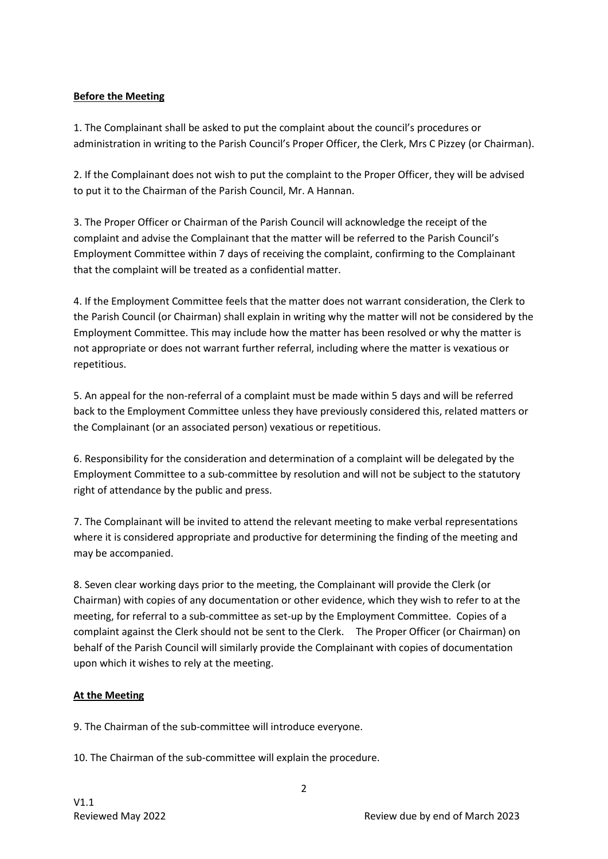### **Before the Meeting**

1. The Complainant shall be asked to put the complaint about the council's procedures or administration in writing to the Parish Council's Proper Officer, the Clerk, Mrs C Pizzey (or Chairman).

2. If the Complainant does not wish to put the complaint to the Proper Officer, they will be advised to put it to the Chairman of the Parish Council, Mr. A Hannan.

3. The Proper Officer or Chairman of the Parish Council will acknowledge the receipt of the complaint and advise the Complainant that the matter will be referred to the Parish Council's Employment Committee within 7 days of receiving the complaint, confirming to the Complainant that the complaint will be treated as a confidential matter.

4. If the Employment Committee feels that the matter does not warrant consideration, the Clerk to the Parish Council (or Chairman) shall explain in writing why the matter will not be considered by the Employment Committee. This may include how the matter has been resolved or why the matter is not appropriate or does not warrant further referral, including where the matter is vexatious or repetitious.

5. An appeal for the non-referral of a complaint must be made within 5 days and will be referred back to the Employment Committee unless they have previously considered this, related matters or the Complainant (or an associated person) vexatious or repetitious.

6. Responsibility for the consideration and determination of a complaint will be delegated by the Employment Committee to a sub-committee by resolution and will not be subject to the statutory right of attendance by the public and press.

7. The Complainant will be invited to attend the relevant meeting to make verbal representations where it is considered appropriate and productive for determining the finding of the meeting and may be accompanied.

8. Seven clear working days prior to the meeting, the Complainant will provide the Clerk (or Chairman) with copies of any documentation or other evidence, which they wish to refer to at the meeting, for referral to a sub-committee as set-up by the Employment Committee. Copies of a complaint against the Clerk should not be sent to the Clerk. The Proper Officer (or Chairman) on behalf of the Parish Council will similarly provide the Complainant with copies of documentation upon which it wishes to rely at the meeting.

## **At the Meeting**

9. The Chairman of the sub-committee will introduce everyone.

10. The Chairman of the sub-committee will explain the procedure.